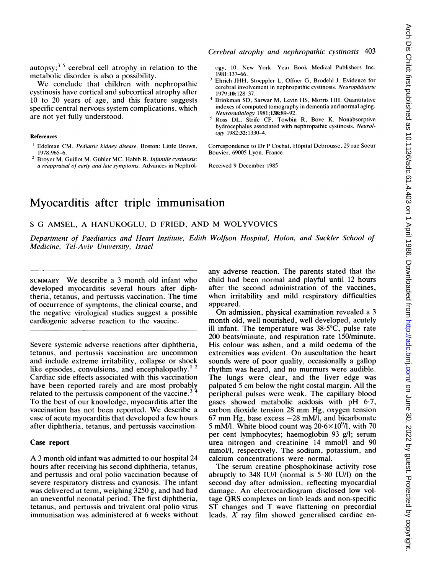autopsy;<sup>3.5</sup> cerebral cell atrophy in relation to the metabolic disorder is also a possibility.

We conclude that children with nephropathic cystinosis have cortical and subcortical atrophy after 10 to 20 years of age, and this feature suggests specific central nervous system complications, which are not yet fully understood.

#### References

- Edelman CM. Pediatric kidney disease. Boston: Little Brown, 1978:965-6.
- <sup>2</sup> Broyer M, Guillot M, Gübler MC, Habib R. Infantile cystinosis: a reappraisal of early and late symptoms. Advances in Nephrol-

Cerebral atrophy and nephropathic cystinosis 403

ogy, 10. New York: Year Book Medical Publishers Inc, 1981:137-66.

- <sup>3</sup> Ehrich JHH, Stoeppler L, Offner G, Brodehl J. Evidence for cerebral involvement in nephropathic cystinosis. Neuropadiatrie 1979;10: 128-37.
- <sup>4</sup> Brinkman SD, Sarwar M, Levin HS, Morris HH. Quantitative indexes of computed tomography in dementia and normal aging. Neuroradiology 1981;138:89-92.
- <sup>5</sup> Ross DL, Strife CF, Towbin R, Bove K. Nonabsorptive hydrocephalus associated with nephropathic cystinosis. Neurology 1982;32:1330-4.

Correspondence to Dr P Cochat, Hôpital Debrousse, 29 rue Soeur Bouvier, 69005 Lyon, France.

Received 9 December 1985

# Myocarditis after triple immunisation

<sup>S</sup> G AMSEL, A HANUKOGLU, D FRIED, AND M WOLYVOVICS

Department of Paediatrics and Heart Institute, Edith Wolfson Hospital, Holon, and Sackler School of Medicine, Tel-Aviv University, Israel

SUMMARY We describe <sup>a</sup> <sup>3</sup> month old infant who developed myocarditis several hours after diphtheria, tetanus, and pertussis vaccination. The time of occurrence of symptoms, the clinical course, and the negative virological studies suggest a possible cardiogenic adverse reaction to the vaccine.

Severe systemic adverse reactions after diphtheria, tetanus, and pertussis vaccination are uncommon and include extreme irritability, collapse or shock like episodes, convulsions, and encephalopathy. $^{12}$ Cardiac side effects associated with this vaccination have been reported rarely and are most probably related to the pertussis component of the vaccine. $3<sup>3</sup>$ To the best of our knowledge, myocarditis after the vaccination has not been reported. We describe <sup>a</sup> case of acute myocarditis that developed a few hours after diphtheria, tetanus, and pertussis vaccination.

## Case report

A <sup>3</sup> month old infant was admitted to our hospital <sup>24</sup> hours after receiving his second diphtheria, tetanus, and pertussis and oral polio vaccination because of severe respiratory distress and cyanosis. The infant was delivered at term, weighing <sup>3250</sup> g, and had had an uneventful neonatal period. The first diphtheria, tetanus, and pertussis and trivalent oral polio virus immunisation was administered at 6 weeks without

any adverse reaction. The parents stated that the child had been normal and playful until 12 hours after the second administration of the vaccines, when irritability and mild respiratory difficulties appeared.

On admission, physical examination revealed <sup>a</sup> <sup>3</sup> month old, well nourished, well developed, acutely ill infant. The temperature was  $38.5^{\circ}$ C, pulse rate 200 beats/minute, and respiration rate 150/minute. His colour was ashen, and a mild oedema of the extremities was evident. On auscultation the heart sounds were of poor quality, occasionally a gallop rhythm was heard, and no murmurs were audible. The lungs were clear, and the liver edge was palpated <sup>5</sup> cm below the right costal margin. All the peripheral pulses were weak. The capillary blood gases showed metabolic acidosis with pH 6-7, carbon dioxide tension <sup>28</sup> mm Hg, oxygen tension 67 mm Hg, base excess  $-28$  mM/l, and bicarbonate 5 mM/l. White blood count was  $20.6 \times 10^{9}$ /l, with 70 per cent lymphocytes; haemoglobin 93 g/l; serum urea nitrogen and creatinine 14 mmol/l and 90 mmol/l, respectively. The sodium, potassium, and calcium concentrations were normal.

The serum creatine phosphokinase activity rose abruptly to 348 IU/I (normal is 5-80 IU/1) on the second day after admission, reflecting myocardial damage. An electrocardiogram disclosed low voltage QRS complexes on limb leads and non-specific ST changes and T wave flattening on precordial leads.  $X$  ray film showed generalised cardiac en-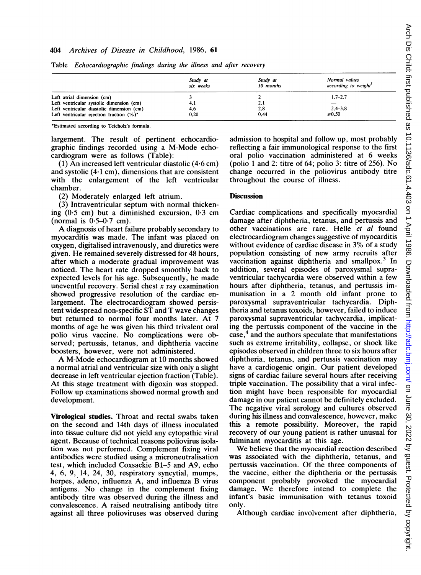#### 404 Archives of Disease in Childhood, 1986, 61

|                                             | Study at<br>six weeks | Study at<br>10 months | Normal values<br>according to weight <sup>3</sup> |
|---------------------------------------------|-----------------------|-----------------------|---------------------------------------------------|
| Left atrial dimension (cm)                  |                       |                       | $1.7 - 2.7$                                       |
| Left ventricular systolic dimension (cm)    | 4.1                   | 2.1                   |                                                   |
| Left ventricular diastolic dimension (cm)   | 4.6                   | 2.8                   | $2,4 - 3,8$                                       |
| Left ventricular ejection fraction $(\%)^*$ | 0.20                  | 0.44                  | $\geq 0.50$                                       |

Table Echocardiographic findings during the illness and after recovery

\*Estimated according to Teicholz's formula.

largement. The result of pertinent echocardiographic findings recorded using a M-Mode echocardiogram were as follows (Table):

(1) An increased left ventricular diastolic (4.6 cm) and systolic  $(4.1 \text{ cm})$ , dimensions that are consistent with the enlargement of the left ventricular chamber.

(2) Moderately enlarged left atrium.

(3) Intraventricular septum with normal thickening  $(0.5 \text{ cm})$  but a diminished excursion,  $0.3 \text{ cm}$ (normal is  $0.5-0.7$  cm).

A diagnosis of heart failure probably secondary to myocarditis was made. The infant was placed on oxygen, digitalised intravenously, and diuretics were given. He remained severely distressed for 48 hours, after which a moderate gradual improvement was noticed. The heart rate dropped smoothly back to expected levels for his age. Subsequently, he made uneventful recovery. Serial chest  $x$  ray examination showed progressive resolution of the cardiac enlargement. The electrocardiogram showed persistent widespread non-specific ST and T wave changes but returned to normal four months later. At 7 months of age he was given his third trivalent oral polio virus vaccine. No complications were observed; pertussis, tetanus, and diphtheria vaccine boosters, however, were not administered.

A M-Mode echocardiogram at <sup>10</sup> months showed a normal atrial and ventricular size with only a slight decrease in left ventricular ejection fraction (Table). At this stage treatment with digoxin was stopped. Follow up examinations showed normal growth and development.

Virological studies. Throat and rectal swabs taken on the second and 14th days of illness inoculated into tissue culture did not yield any cytopathic viral agent. Because of technical reasons poliovirus isolation was not performed. Complement fixing viral antibodies were studied using a microneutralisation test, which included Coxsackie B1-5 and A9, echo 4, 6, 9, 14, 24, 30, respiratory syncytial, mumps, herpes, adeno, influenza A, and influenza B virus antigens. No change in the complement fixing antibody titre was observed during the illness and convalescence. A raised neutralising antibody titre against all three polioviruses was observed during admission to hospital and follow up, most probably reflecting a fair immunological response to the first oral polio vaccination administered at 6 weeks (polio <sup>1</sup> and 2: titre of 64; polio 3: titre of 256). No change occurred in the poliovirus antibody titre throughout the course of illness.

### **Discussion**

Cardiac complications and specifically myocardial damage after diphtheria, tetanus, and pertussis and other vaccinations are rare. Helle et al found electrocardiogram changes suggestive of myocarditis without evidence of cardiac disease in 3% of <sup>a</sup> study population consisting of new army recruits after vaccination against diphtheria and smallpox. $3 \text{ In}$ addition, several episodes of paroxysmal supraventricular tachycardia were observed within a few hours after diphtheria, tetanus, and pertussis immunisation in a 2 month old infant prone to paroxysmal supraventricular tachycardia. Diphtheria and tetanus toxoids, however, failed to induce paroxysmal supraventricular tachycardia, implicating the pertussis component of the vaccine in the case,<sup>4</sup> and the authors speculate that manifestations such as extreme irritability, collapse, or shock like episodes observed in children three to six hours after diphtheria, tetanus, and pertussis vaccination may have a cardiogenic origin. Our patient developed signs of cardiac failure several hours after receiving triple vaccination. The possibility that a viral infection might have been responsible for myocardial damage in our patient cannot be definitely excluded. The negative viral serology and cultures observed during his illness and convalescence, however, make this a remote possibility. Moreover, the rapid recovery of our young patient is rather unusual for fulminant myocarditis at this age.

We believe that the myocardial reaction described was associated with the diphtheria, tetanus, and pertussis vaccination. Of the three components of the vaccine, either the diphtheria or the pertussis component probably provoked the myocardial damage. We therefore intend to complete the infant's basic immunisation with tetanus toxoid only.

Although cardiac involvement after diphtheria,